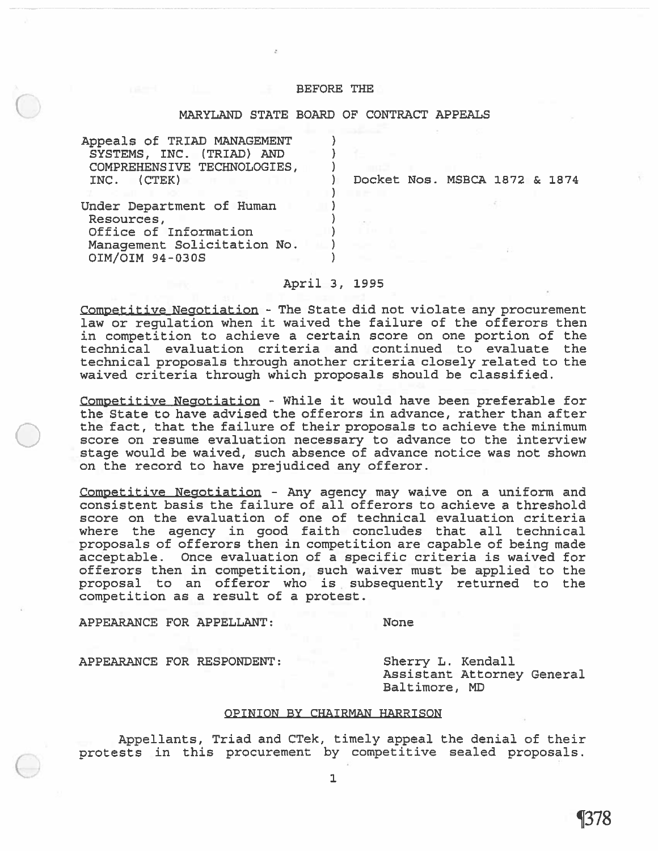# BEFORE THE

# MARYLAND STATE BOARD OF CONTRACT APPEALS

| Appeals of TRIAD MANAGEMENT<br>SYSTEMS, INC. (TRIAD) AND<br>COMPREHENSIVE TECHNOLOGIES,<br>(CTER)<br>INC.          | Docket Nos. MSBCA 1872 & 1874 |  |
|--------------------------------------------------------------------------------------------------------------------|-------------------------------|--|
| Under Department of Human<br>Resources,<br>Office of Information<br>Management Solicitation No.<br>OIM/OIM 94-030S |                               |  |

April 3, 1995

Competitive Negotiation - The State did not violate any procuremen<sup>t</sup> law or regulation when it waived the failure of the offerors then in competition to achieve <sup>a</sup> certain score on one portion of the technical evaluation criteria and continued to evaluate the technical proposals through another criteria closely related to the waived criteria through which proposals should be classified.

Competitive Negotiation - While it would have been preferable for the State to have advised the offerors in advance, rather than after the fact, that the failure of their proposals to achieve the minimum score on resume evaluation necessary to advance to the interview stage would be waived, such absence of advance notice was not shown on the record to have prejudiced any offeror.

Competitive Negotiation - Any agency may waive on <sup>a</sup> uniform and consistent basis the failure of all offerors to achieve <sup>a</sup> threshold score on the evaluation of one of technical evaluation criteria where the agency in good faith concludes that all technical proposals of offerors then in competition are capable of being made acceptable. Once evaluation of <sup>a</sup> specific criteria is waived for offerors then in competition, such waiver must be applied to the proposal to an offerer who is subsequently returned to the competition as <sup>a</sup> result of <sup>a</sup> protest.

APPEARANCE FOR APPELLANT: None

APPEARANCE FOR RESPONDENT: Sherry L. Kendall

Assistant Attorney General Baltimore, MD

#### OPINION BY CHAIRMAN HARRISON

Appellants, Triad and CTek, timely appeal the denial of their protests in this procuremen<sup>t</sup> by competitive sealed proposals.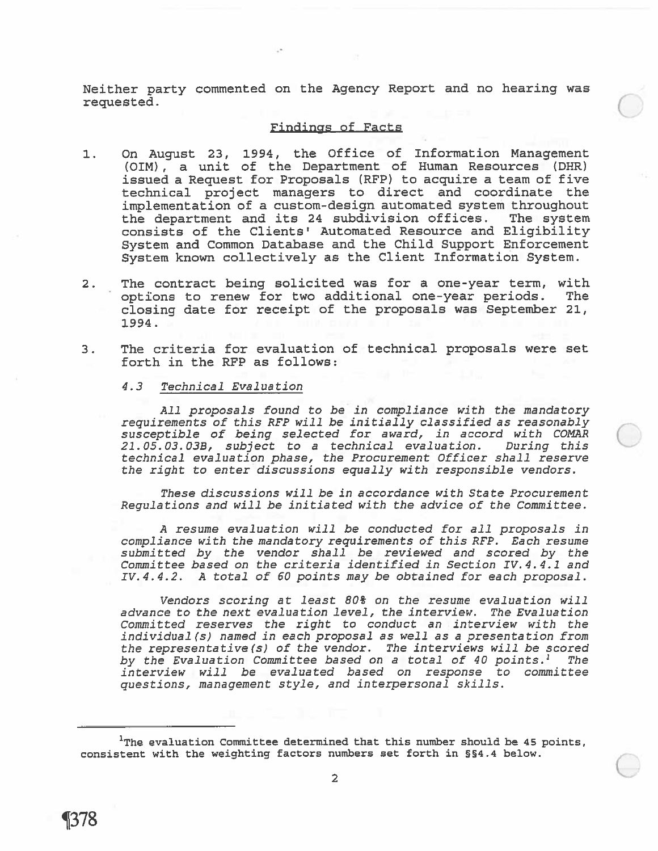Neither party commented on the Agency Report and no hearing was requested. C.)

# Findings of Facts

- 1. On August 23, 1994, the Office of Information Management (DIM), <sup>a</sup> unit of the Department of Human Resources (DHR) issued a Request for Proposals (RFP) to acquire a team of five technical project managers to direct and coordinate the implementation of <sup>a</sup> custom-design automated system throughout the department and its 24 subdivision offices. The system consists of the Clients' Automated Resource and Eligibility System and Common Database and the Child Support Enforcement System known collectively as the Client Information System.
- 2. The contract being solicited was for <sup>a</sup> one-year term, with options to renew for two additional one-year periods. The closing date for receipt of the proposals was September 21, 1994.
- 3. The criteria for evaluation of technical proposals were set forth in the RFP as follows:

# 4.3 Technical Evaluation

All proposals found to be in compliance with the mandatory requirements of this REP will be initially classified as reasonably susceptible of being selected for award, in accord with COMAR 21.05.03.038, subject to <sup>a</sup> technical evaluation. During this technical evaluation phase, the Procurement Officer shall reserve the right to enter discussions equally with responsible vendors.

These discussions will be in accordance with State Procurement Regulations and will be initiated with the advice of the Committee.

A resume evaluation will be conducted for all proposals in compliance with the mandatory requirements of this REP. Each resume submitted by the vendor shall be reviewed and scored by the Committee based on the criteria identified in Section IV.4.4.1 and IV.4.4.2. A total of 60 points may be obtained for each proposal.

Vendors scoring at least 80% on the resume evaluation will advance to the next evaluation level, the interview. The Evaluation Committed reserves the right to conduct an interview with the individual (s) named in each proposal as well as <sup>a</sup> presentation from the representative(s) of the vendor. The interviews will be scored by the Evaluation Committee based on a total of 40 points. $<sup>1</sup>$  The</sup> interview will be evaluated based on response to committee questions, managemen<sup>t</sup> style, and interpersonal skills.

 $1$ The evaluation Committee determined that this number should be 45 points, consistent with the weighting factors numbers set forth in §4.4 below.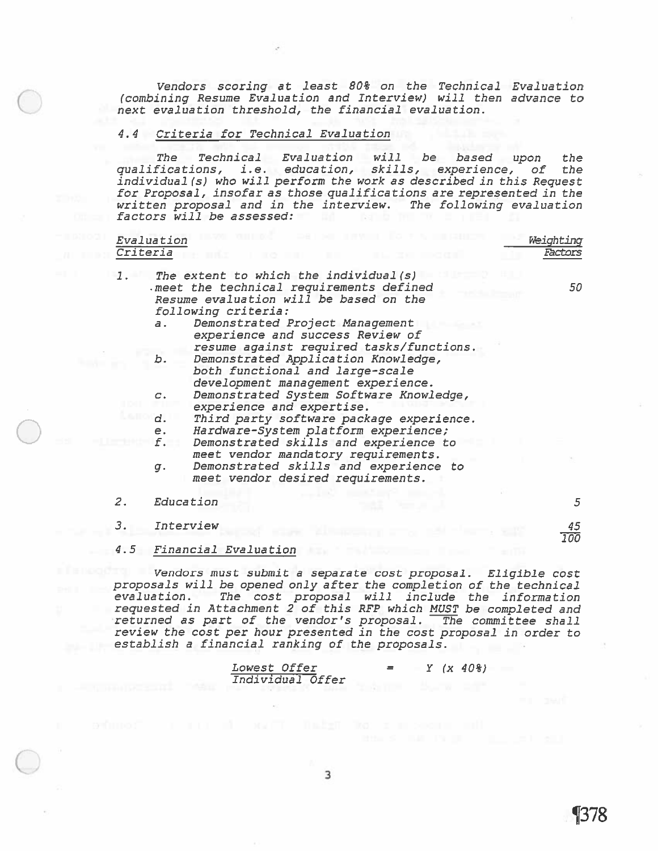Vendors scoring at least 80% on the Technical Evaluation (combining Resume Evaluation and Interview) will then advance to next evaluation threshold, the financial evaluation.

#### 4.4 Criteria for Technical Evaluation

The Technical Evaluation will be based upon the qualifications, i.e. education, skills, experience, of the individual (s) who will perform the work as described in this Request for Proposal, insofar as those qualifications are represented in the written proposal and in the interview. The following evaluation factors will be assessed:

| Criteria | Evaluation                                                                                                                                                                                                                                                                                | Weighting<br>Factors |
|----------|-------------------------------------------------------------------------------------------------------------------------------------------------------------------------------------------------------------------------------------------------------------------------------------------|----------------------|
| 1.       | The extent to which the individual (s)<br>meet the technical requirements defined<br>Resume evaluation will be based on the<br>following criteria:<br>Demonstrated Project Management<br>$\overline{a}$ .<br>experience and success Review of<br>resume against required tasks/functions. | 50                   |
|          | Demonstrated Application Knowledge,<br>ь.<br>both functional and large-scale<br>development management experience.                                                                                                                                                                        |                      |
|          | Demonstrated System Software Knowledge,<br>$C$ .<br>experience and expertise.                                                                                                                                                                                                             |                      |
|          | d.<br>Third party software package experience.<br>Hardware-System platform experience;<br>e.                                                                                                                                                                                              |                      |
|          | f.<br>Demonstrated skills and experience to<br>meet vendor mandatory requirements.                                                                                                                                                                                                        |                      |
|          | Demonstrated skills and experience to<br>$q$ .<br>meet vendor desired requirements.                                                                                                                                                                                                       |                      |
| 2.       | Education                                                                                                                                                                                                                                                                                 | 5                    |
| З.       | Interview                                                                                                                                                                                                                                                                                 | 45<br>100            |
| 4.5      | Financial Evaluation                                                                                                                                                                                                                                                                      |                      |
|          | Vendors must submit a separate cost proposal. Eligible cost<br>proposals will be opened only after the completion of the technical<br>The cost proposal will include<br>evaluation.<br>requested in Attachment 2 of this RFP which MUST be completed and                                  | the information      |

•returned as par<sup>t</sup> of the vendor's proposal. The committee shall review the cost per hour presented in the cost proposal in order to establish <sup>a</sup> financial ranking of the proposals.

| <i>Lowest Offer</i> | = |  | $Y (x 40\})$ |
|---------------------|---|--|--------------|
| Individual Offer    |   |  |              |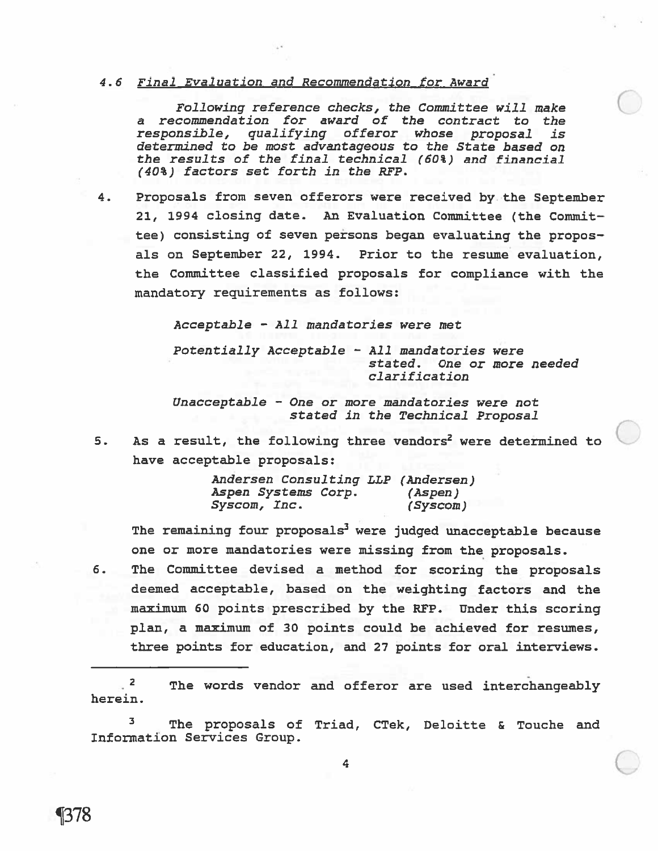### 4.6 Final Evaluation and Recommendation for Award

Following reference checks, the Committee will make <sup>a</sup> recommendation for award of the contract to the responsible, qualifying offeror whose proposal is determined to be most advantageous to the State based on the results of the final technical (60%) and financial (40%) factors set forth in the RFP.

4. Proposals from seven offerors were received by the September 21, 1994 closing date. An Evaluation Committee (the Commit tee) consisting of seven persons began evaluating the propos als on September 22, 1994. Prior to the resume evaluation, the Committee classified proposals for compliance with the mandatory requirements as follows:

Acceptable - All mandataries were met

Potentially Acceptable — All mandatories were stated. One or more needed clarification

Unacceptable — One or more mandatories were not stated in the Technical Proposal

5. As a result, the following three vendors<sup>2</sup> were determined to have acceptable proposals:

> Andersen Consulting LLP (Andersen) Aspen Systems Corp. (Aspen) Syscom, Inc. (Syscom)

The remaining four proposals<sup>3</sup> were judged unacceptable because one or more mandatories were missing from the proposals.

6. The Committee devised <sup>a</sup> method for scoring the proposals deemed acceptable, based on the weighting factors and the maximum 60 points prescribed by the REP. Under this scoring plan, <sup>a</sup> maximum of 30 points could be achieved for resumes, three points for education, and 27 points for oral interviews.

.<sup>2</sup> The words vendor and offeror are used interchangeably herein.

3 The proposals of Triad, CTek, Deloitte & Touche and Information Services Group.

C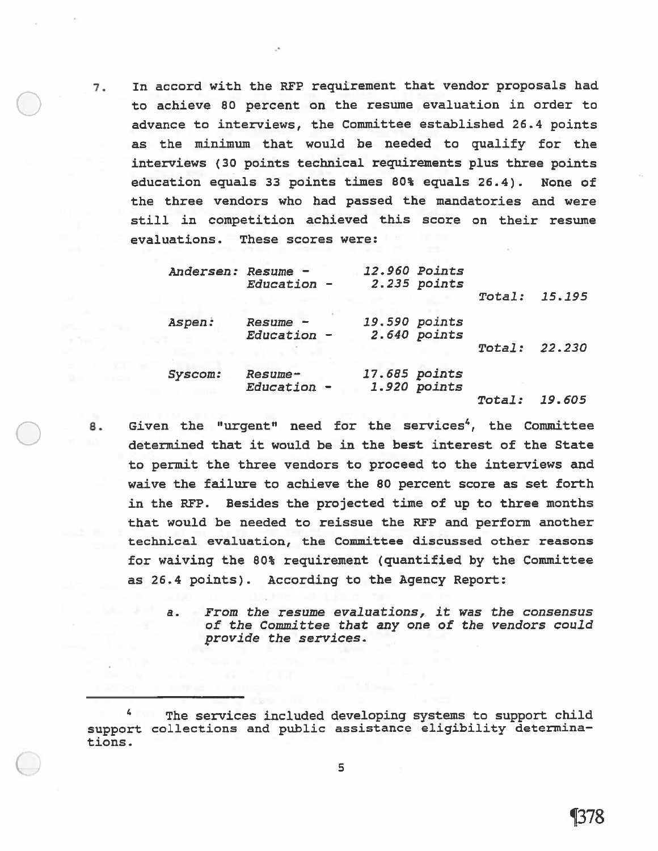7. In accord with the RFP requirement that vendor proposals had to achieve <sup>80</sup> percen<sup>t</sup> on the resume evaluation in order to advance to interviews, the Committee established 26.4 points as the minimum that would be needed to qualify for the interviews (30 points technical requirements plus three points education equals 33 points times 80% equals 26.4). None of the three vendors who had passed the mandatories and were still in competition achieved this score on their resume evaluations. These scores were:

| Andersen: Resume - | Education -            |               | 12.960 Points<br>2.235 points |        |        |
|--------------------|------------------------|---------------|-------------------------------|--------|--------|
|                    |                        |               |                               | Total: | 15.195 |
| Aspen:             | Resume -               |               | 19.590 points                 |        |        |
|                    | Education -            |               | 2.640 points                  | Total: | 22.230 |
| Syscom:            | Resume-<br>Education - | 17.685 points | 1.920 points                  |        |        |
|                    |                        |               |                               | Total: | 19.605 |

- 8. Given the "urgent" need for the services<sup>4</sup>, the Committee determined that it would be in the best interest of the State to permit the three vendors to proceed to the interviews and waive the failure to achieve the 80 percen<sup>t</sup> score as set forth in the RFP. Besides the projected time of up to three months that would be needed to reissue the RFP and perform another technical evaluation, the Committee discussed other reasons for waiving the 80% requirement (quantified by the Committee as 26.4 points). According to the Agency Report:
	- a. From the resume evaluations, it was the consensus of the Committee that any one of the vendors could provide the services.

<sup>4</sup> The services included developing systems to suppor<sup>t</sup> child support collections and public assistance eligibility determinations.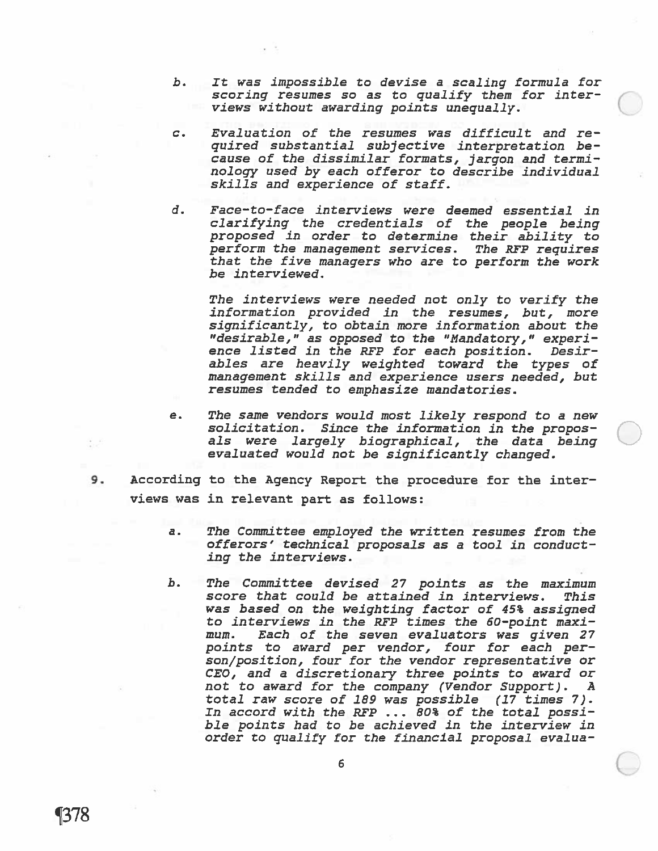- b. It was impossible to devise <sup>a</sup> scaling formula for scoring resumes so as to qualify them for interviews without awarding points unequally.
- c. Evaluation of the resumes was difficult and re quired substantial subjective interpretation be cause of the dissimilar formats, jargon and termi nology used by each offeror to describe individual skills and experience of staff.
- d. Face—to—face interviews were deemed essential in clarifying the credentials of the people being propose<sup>d</sup> in order to determine their ability to perform the managemen<sup>t</sup> services. The RET requires that the five managers who are to perform the work be interviewed.

The interviews were needed not only to verify the information provided in the resumes, but, more significantly, to obtain more information about the "desirable," as oppose<sup>d</sup> to the "Mandatory," exper<sup>i</sup> ence listed in the RFP for each position. Desir ables are heavily weighted toward the types of managemen<sup>t</sup> skills and experience users needed, but resumes tended to emphasize mandatories.

- e. The same vendors would most likely respond to <sup>a</sup> new solicitation. Since the information in the propos als were largely biographical, the data being evaluated would not be significantly changed.
- 9. According to the Agency Report the procedure for the inter views was in relevant part as follows:
	- a. The Committee employed the written resumes from the offerors' technical proposals as <sup>a</sup> tool in conduct ing the interviews.
	- b. The Committee devised 27 points as the maximum score that could be attained in interviews. This was based on the weighting factor of 45% assigned to interviews in the RFP times the 60-point maximum. Each of the seven evaluators was given 27 points to award per vendor, four for each per son/position, four for the vendor representative or CEO, and <sup>a</sup> discretionary three points to award or not to award for the company (Vendor Support). A total raw score of 189 was possible (17 times 7)- In accord with the RFP ... 80% of the total possi ble points had to be achieved in the interview in order to qualify for the financial proposal evalua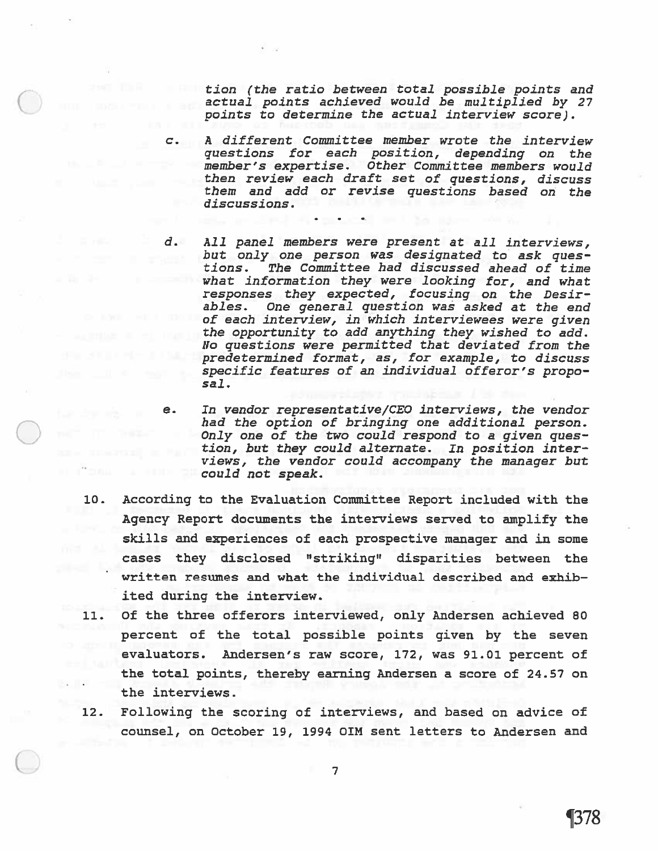tion (the ratio between total possible points and actual points achieved would be multiplied by 27 points to determine the actual interview score).

C. A different Committee member wrote the interview questions for each position, depending on the member's expertise. Other Committee members would then review each draft set of questions, discuss them and add or revise questions based on the discussions.

- d. All panel members were presen<sup>t</sup> at all interviews, but only one person was designated to ask ques tions. The Committee had discussed ahead of time what information they were looking for, and what responses they expected, focusing on the Desir ables. One general question was asked at the end of each interview, in which interviewees were given the opportunity to add anything they wished to add. No questions were permitted that deviated from the predetermined format, as, for example, to discuss specific features of an individual offeror's propo sal.
- e. In vendor representative/CEO interviews, the vendor had the option of bringing one additional person. Only one of the two could respond to a given question, but they could alternate. In position interviews, the vendor could accompany the manager but could not speak.
- 10. According to the Evaluation Committee Report included with the Agency Report documents the interviews served to amplify the skills and experiences of each prospective manager and in some cases they disclosed "striking" disparities between the written resunes and what the individual described and exhib ited during the interview.
- 11. Of the three offerors interviewed, only Andersen achieved 80 percen<sup>t</sup> of the total possible points given by the seven evaluators. Andersen's raw score, 172, was 91.01 percen<sup>t</sup> of the total points, thereby earning Andersen <sup>a</sup> score of 24.57 on the interviews.
- 12. Following the scoring of interviews, and based on advice of counsel, on October 19, 1994 OIN sent letters to Andersen and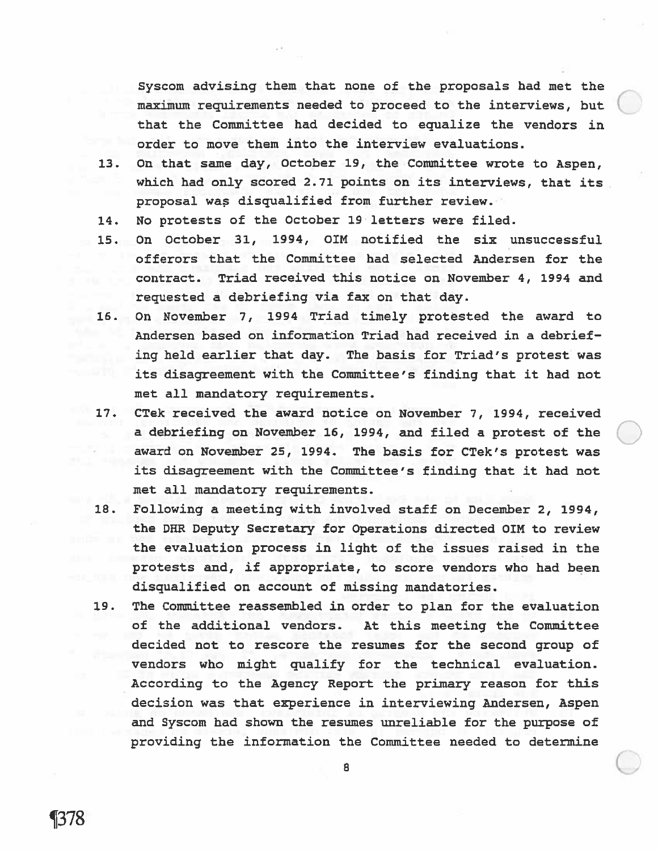Syscom advising them that none of the proposals had met the maximum requirements needed to proceed to the interviews, but that the Committee had decided to equalize the vendors in order to move them into the interview evaluations.

- 13. On that sane day, October 19, the Committee wrote to Aspen, which had only scored 2.71 points on its interviews, that its proposal was disqualified from further review.
- 14. No protests of the October 19 letters were filed.
- 15. On October 31, 1994, QIM notified the six unsuccessful offerors that the Committee had selected Andersen for the contract. Triad received this notice on November 4, 1994 and requested <sup>a</sup> debriefing via fax on that day.
- 16. On November 7, 1994 Triad timely protested the award to Andersen based on information Triad had received in <sup>a</sup> debrief ing held earlier that day. The basis for Triad's protest was its disagreement with the Committee's finding that it had not met all mandatory requirements.
- 17. CTek received the award notice on November 7, 1994, received <sup>a</sup> debriefing on November 16, 1994, and filed <sup>a</sup> protest of the award on November 25, 1994. The basis for CTek's protest was its disagreement with the Committee's finding that it had not met all mandatory requirements.
- 18. Following <sup>a</sup> meeting with involved staff on December 2, 1994, the DHR Deputy Secretary for Operations directed OIM to review the evaluation process in light of the issues raised in the protests and, if appropriate, to score vendors who had been disqualified on account of missing mandatories.
- 19. The Committee reassembled in order to plan for the evaluation of the additional vendors. At this meeting the Committee decided not to rescore the resumes for the second group of vendors who might qualify for the technical evaluation. According to the Agency Report the primary reason for this decision was that experience in interviewing Andersen, Aspen and Syscom had shown the resumes unreliable for the purpose of providing the information the Committee needed to determine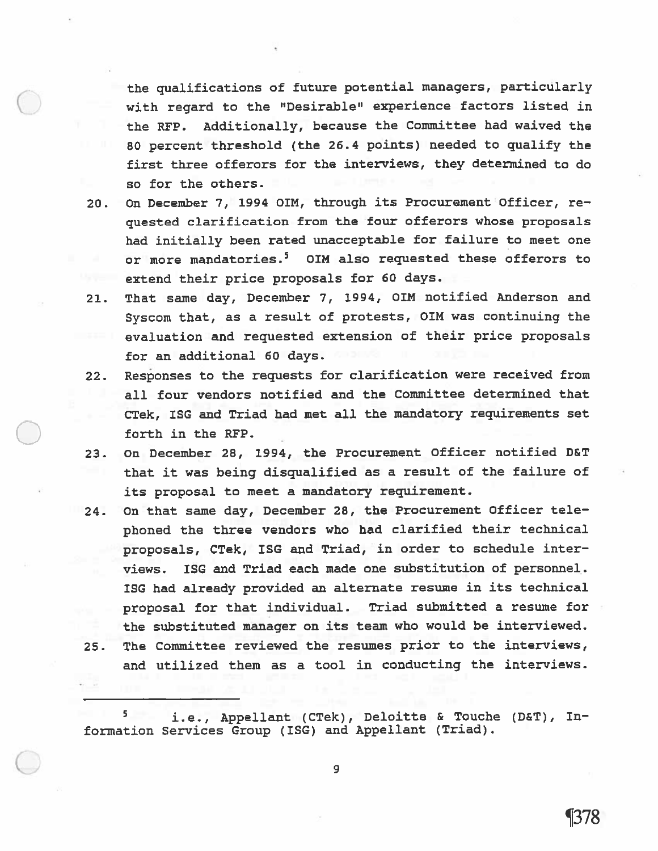the qualifications of future potential managers, particularly with regar<sup>d</sup> to the "Desirable" experience factors listed in the RFP. Additionally, because the Committee had waived the <sup>80</sup> percen<sup>t</sup> threshold (the 26.4 points) needed to qualify the first three offerors for the interviews, they determined to do so for the others.

- 20. On December 7, 1994 OIM, through its Procurement Officer, re quested clarification from the four offerors whose proposals had initially been rated unacceptable for failure to meet one or more mandatories.<sup>5</sup> OIM also requested these offerors to extend their price proposals for 60 days.
- 21. That same day, December 7, 1994, OIN notified Anderson and Syscom that, as <sup>a</sup> result of protests, OIM was continuing the evaluation and requested extension of their price proposals for an additional 60 days.
- 22. Responses to the requests for clarification were received from all four vendors notified and the Committee determined that CTek, ISG and Triad had met all the mandatory requirements set forth in the RFP.
- 23. On December 28, 1994, the Procurement Officer notified D&T that it was being disqualified as <sup>a</sup> result of the failure of its proposal to meet <sup>a</sup> mandatory requirement.
- 24. On that same day, December 28, the Procurement Officer tele<sup>p</sup>honed the three vendors who had clarified their technical proposals, CTek, ISG and Triad, in order to schedule inter views. ISG and Triad each made one substitution of personnel. ISG had already provided an alternate resume in its technical proposa<sup>l</sup> for that individual. Triad submitted <sup>a</sup> resume for the substituted manager on its team who would be interviewed.
- 25. The Committee reviewed the resumes prior to the interviews, and utilized them as <sup>a</sup> tool in conducting the interviews.

5 i.e., Appellant (CTek), Deloitte & Touche (D&T), In formation Services Group (ISG) and Appellant (Triad).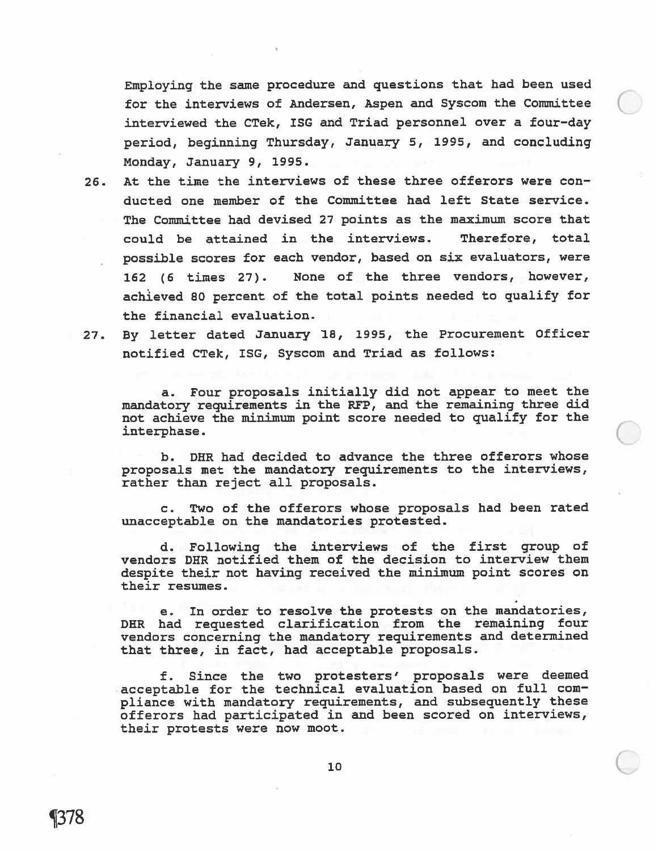Employing the same procedure and questions that had been used for the interviews of Andersen, Aspen and Syscom the Committee interviewed the CTek, ISG and Triad personnel over <sup>a</sup> four—day period, beginning Thursday, January 5, 1995, and concluding Monday, January 9, 1995.

- 26. At the time the interviews of these three offerors were con ducted one member of the Committee had left State service. The Committee had devised 27 points as the maximum score that could be attained in the interviews. Therefore, total possible scores for each vendor, based on six evaluators, were 162 (6 times 27). None of the three vendors, however, achieved 80 percent of the total points needed to qualify for the financial evaluation.
- 

27. By letter dated January 18, 1995, the Procurement Officer notified CTek, ISG, Syscom and Triad as follows:

a. Four proposals initially did not appear to meet the mandatory requirements in the REP, and the remaining three did not achieve the minimum point score needed to qualify for the interphase.

b. DHR had decided to advance the three offerors whose proposals met the mandatory requirements to the interviews, rather than reject all proposals.

c. Two of the offerors whose proposals had been rated unacceptable on the mandatories protested.

d. Following the interviews of the first group of vendors DHR notified them of the decision to interview them despite their not having received the minimum point scores on their resumes.

e. In order to resolve the protests on the mandatories, DER had requested clarification from the remaining four vendors concerning the mandatory requirements and determined that three, in fact, had acceptable proposals.

f. Since the two protesters' proposals were deemed acceptable for the technical evaluation based on full com <sup>p</sup>liance with mandatory requirements, and subsequently these offerors had participated in and been scored on interviews, their protests were now moot.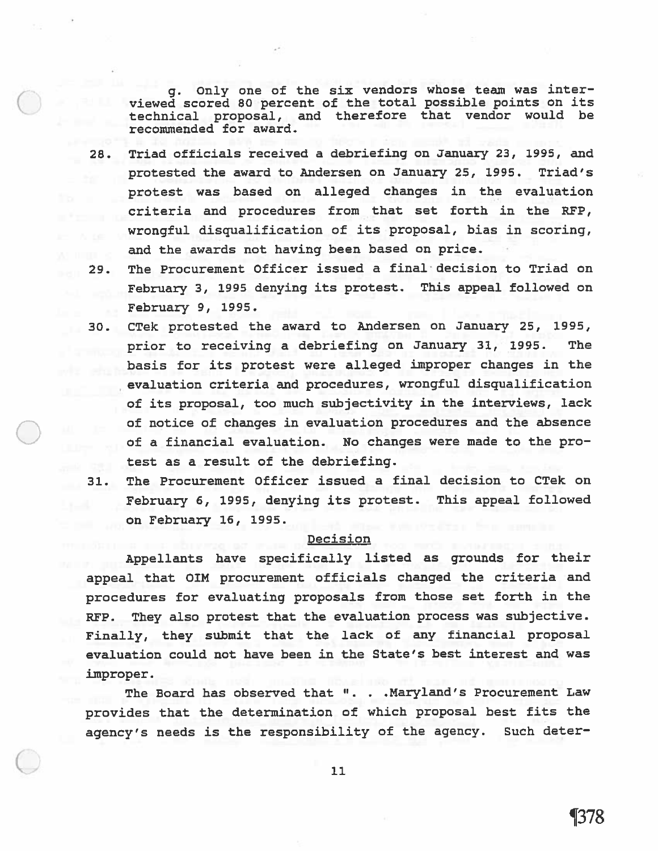g. Only one of the six vendors whose team was inter viewed scored <sup>80</sup> percen<sup>t</sup> of the total possible points on its technical proposal, and therefore that vendor would be recommended for award.

- 28. Triad officials received <sup>a</sup> debriefing on January 23, 1995, and protested the award to Andersen on January 25, 1995. Triad's protest was based on alleged changes in the evaluation criteria and procedures from that set forth in the RFP, wrongful disqualification of its proposal, bias in scoring, and the awards not having been based on price.
- 29. The Procurement Officer issued <sup>a</sup> final decision to Triad on February 3, <sup>1995</sup> denying its protest. This appea<sup>l</sup> followed on February 9, 1995.
- 30. CTek protested the award to Andersen on January 25, 1995, prior to receiving <sup>a</sup> debriefing on January 31, 1995. The basis for its protest were alleged improper changes in the evaluation criteria and procedures, wrongful disqualification of its proposal, too much subjectivity in the interviews, lack of notice of changes in evaluation procedures and the absence of <sup>a</sup> financial evaluation. No changes were made to the pro test as <sup>a</sup> result of the debriefing.
- 31. The Procurement Officer issued <sup>a</sup> final decision to CTek on February 6, 1995, denying its protest. This appea<sup>l</sup> followed on February 16, 1995.

# **Decision**

Appellants have specifically listed as grounds for their appeal that OIM procurement officials changed the criteria and procedures for evaluating proposals from those set forth in the RFP. They also protest that the evaluation process was subjective. Finally, they submit that the lack of any financial proposa<sup>l</sup> evaluation could not have been in the State's best interest and was improper.

The Board has observed that ". . .Maryland's Procurement Law provides that the determination of which proposa<sup>l</sup> best fits the agency's needs is the responsibility of the agency. Such deter—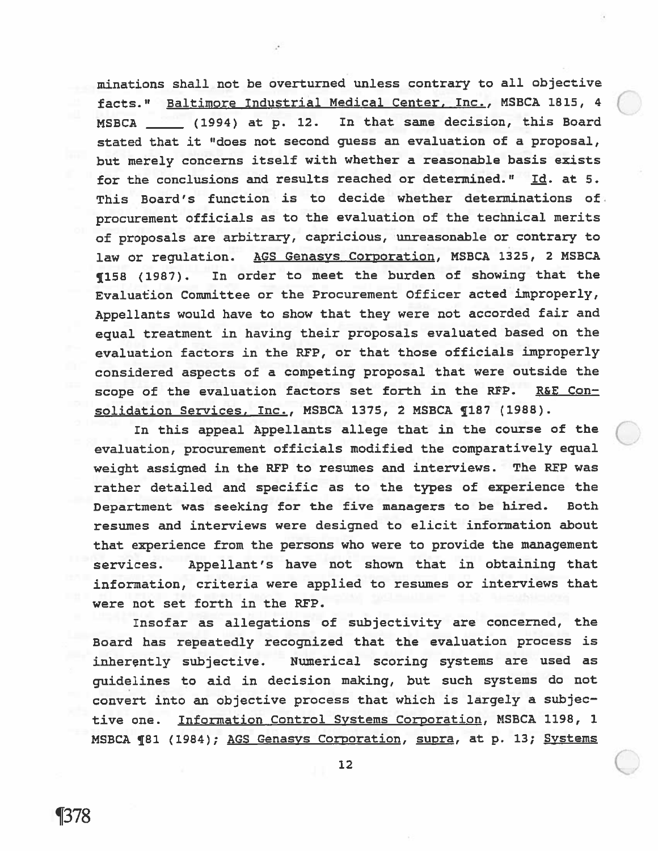minations shall not be overturned unless contrary to all objective facts." Baltimore Industrial Medical Center, Inc., MSBCA 1815, 4 minations shall not be overturned unless contrary to all objective<br>facts." <u>Baltimore Industrial Medical Center, Inc.</u>, MSBCA 1815, 4<br>MSBCA \_\_\_\_\_ (1994) at p. 12. In that same decision, this Board stated that it "does not second guess an evaluation of <sup>a</sup> proposal, but merely concerns itself with whether <sup>a</sup> reasonable basis exists for the conclusions and results reached or determined."  $Id.$  at 5. This Board's function is to decide whether determinations of. procuremen<sup>t</sup> officials as to the evaluation of the technical merits of proposals are arbitrary, capricious, unreasonable or contrary to law or regulation. AGS Genasys Corporation, MSBCA 1325, <sup>2</sup> MSBCA ¶158 (1987). In order to meet the burden of showing that the Evaluation Committee or the Procurement Officer acted improperly, Appellants would have to show that they were not accorded fair and equa<sup>l</sup> treatment in having their proposals evaluated based on the evaluation factors in the REP, or that those officials improperly considered aspects of <sup>a</sup> competing proposa<sup>l</sup> that were outside the scope of the evaluation factors set forth in the RFP. R&E Consolidation Services, Inc., MSBCA 1375, 2 MSBCA ¶187 (1988).

In this appeal Appellants allege that in the course of the evaluation, procurement officials modified the comparatively equal weight assigned in the REP to resumes and interviews. The REP was rather detailed and specific as to the types of experience the Department was seeking for the five managers to be hired. Both resumes and interviews were designed to elicit information about that experience from the persons who were to provide the managemen<sup>t</sup> services. Appellant's have not shown that in obtaining that information, criteria were applied to resumes or interviews that were not set forth in the REP.

Insofar as allegations of subjectivity are concerned, the Board has repeatedly recognized that the evaluation process is inherently subjective. Numerical scoring systems are used as guidelines to aid in decision making, but such systems do not convert into an objective process that which is largely <sup>a</sup> subjec tive one. Information Control Systems Corporation, MSBCA 1198, 1 MSBCA ¶81 (1984); AGS Genasys Corporation, supra, at p. 13; Systems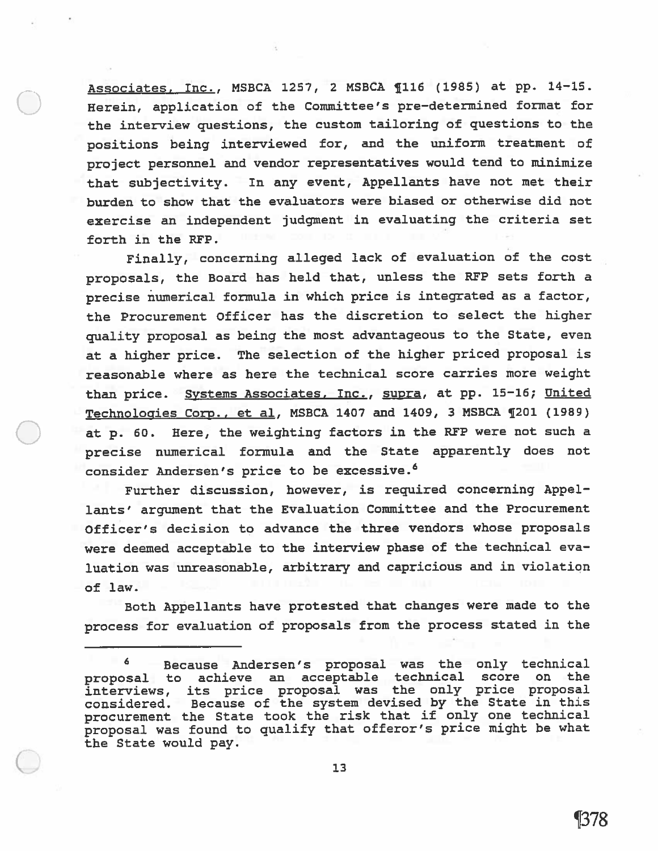Associates, Inc., MSBCA 1257, <sup>2</sup> MSBCA ¶116 (1985) at pp. 14—15. Herein, application of the Committee's pre—detenined format for the interview questions, the custom tailoring of questions to the positions being interviewed for, and the uniform treatment of project personne<sup>l</sup> and vendor representatives would tend to minimize that subjectivity. In any event, Appellants have not met their burden to show that the evaluators were biased or otherwise did not exercise an independent judgment in evaluating the criteria set forth in the RFP.

Finally, concerning alleged lack of evaluation of the cost proposals, the Board has held that, unless the RFP sets forth a precise numerical formula in which price is integrated as <sup>a</sup> factor, the Procurement Officer has the discretion to select the higher quality proposa<sup>l</sup> as being the most advantageous to the State, even at <sup>a</sup> higher price. The selection of the higher priced proposa<sup>l</sup> is reasonable where as here the technical score carries more weight than price. Systems Associates, Inc., supra, at pp. 15-16; United Technologies Corp., et al, MSBCA <sup>1407</sup> and 1409, <sup>3</sup> MSBCA ¶201 (1989) at p. 60. Here, the weighting factors in the REP were not such <sup>a</sup> precise numerical formula and the State apparently does not consider Andersen's price to be excessive.<sup>6</sup>

Further discussion, however, is required concerning Appel lants' argumen<sup>t</sup> that the Evaluation Committee and the Procurement Officer's decision to advance the three vendors whose proposals were deemed acceptable to the interview <sup>p</sup>hase of the technical eva luation was unreasonable, arbitrary and capricious and in violation of law.

Both Appellants have protested that changes were made to the process for evaluation of proposals from the process stated in the

<sup>6</sup> Because Andersen's proposa<sup>l</sup> was the only technical proposa<sup>l</sup> to achieve an acceptable technical score on the interviews, its price proposa<sup>l</sup> was the only price proposa<sup>l</sup> considered. Because of the system devised by the State in this procuremen<sup>t</sup> the State took the risk that if only one technical proposa<sup>l</sup> was found to qualify that offeror's price might be what the State would pay.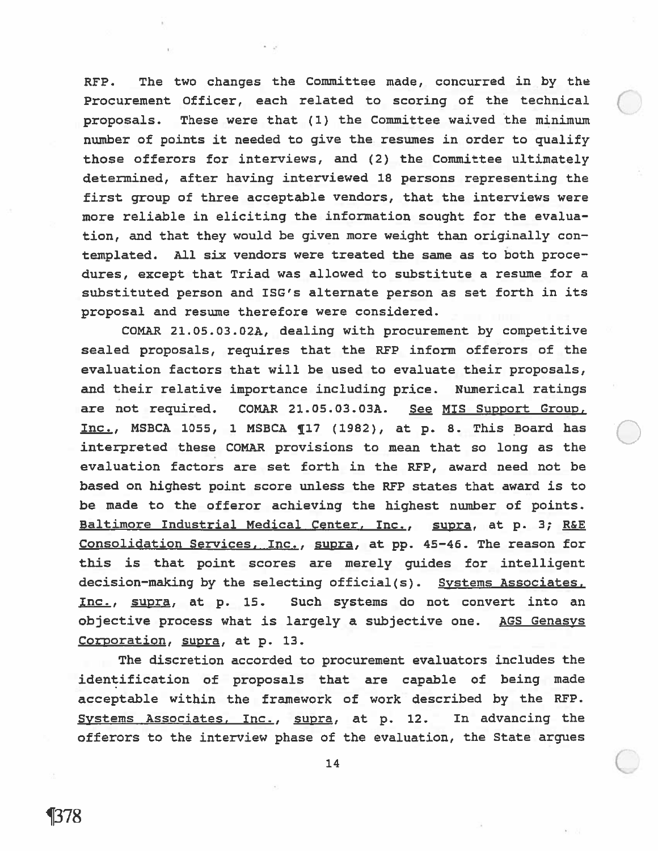RFP. The two changes the Committee made, concurred in by the Procurement Officer, each related to scoring of the technical proposals. These were that (1) the Committee waived the minimum number of points it needed to <sup>g</sup>ive the resumes in order to qualify those offerors for interviews, and (2) the Committee ultimately determined, after having interviewed 18 persons representing the first group of three acceptable vendors, that the interviews were more reliable in eliciting the information sought for the evalua tion, and that they would be given more weight than originally con templated. All six vendors were treated the same as to both proce dures, excep<sup>t</sup> that Triad was allowed to substitute <sup>a</sup> resume for <sup>a</sup> substituted person and ISG's alternate person as set forth in its proposal and resume therefore were considered.

COMAR 21.05.03.02A, dealing with procuremen<sup>t</sup> by competitive sealed proposals, requires that the RFP inform offerors of the evaluation factors that will be used to evaluate their proposals, and their relative importance including price. Numerical ratings are not required. COMAR 21.05.03.03A. See MIS Support Group. Inc., MSBCA 1055, <sup>1</sup> MSBCA ¶17 (1982), at p. 8. This Board has interpreted these COMAR provisions to mean that so long as the evaluation factors are set forth in the RFP, award need not be based on highest point score unless the RFP states that award is to be made to the offeror achieving the highest number of points. Baltimore Industrial Medical Center, Inc., supra, at p. 3; R&E Consolidation Services, Inc., supra, at pp. 45—46. The reason for this is that point scores are merely guides for intelligent decision—making by the selecting official(s). Systems Associates, Inc., supra, at p. is. such systems do not convert into an objective process what is largely <sup>a</sup> subjective one. AGS Genasys Corporation, supra, at p. 13.

The discretion accorded to procuremen<sup>t</sup> evaluators includes the identification of proposals that are capable of being made acceptable within the framework of work described by the RFP. Systems Associates, Inc., supra, at p. 12. In advancing the offerors to the interview phase of the evaluation, the State argues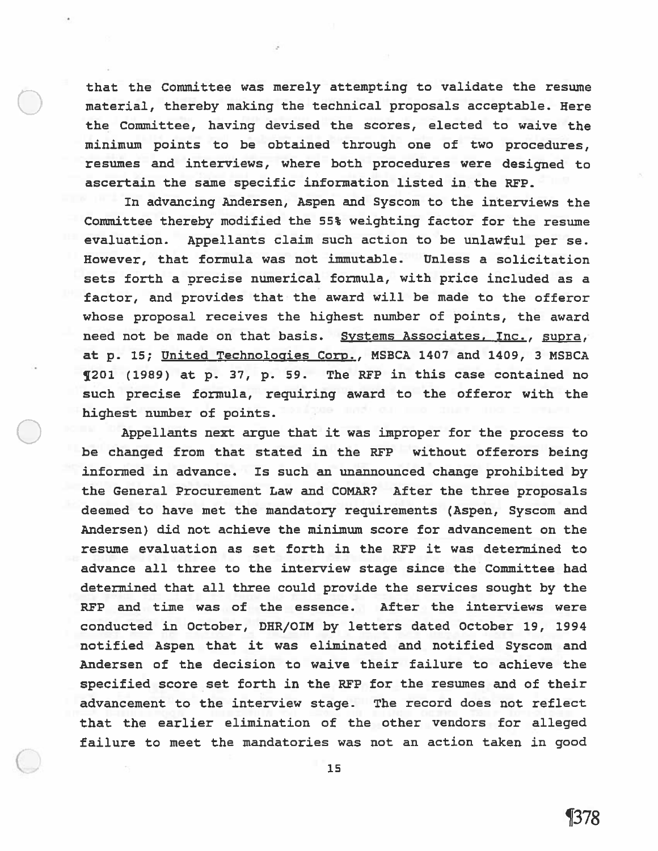that the Committee was merely attempting to validate the resume material, thereby making the technical proposals acceptable. Here the Committee, having devised the scores, elected to waive the minimum points to be obtained through one of two procedures, resumes and interviews, where both procedures were designed to ascertain the same specific information listed in the REP.

In advancing Andersen, Aspen and Syscom to the interviews the Committee thereby modified the 55% weighting factor for the resume evaluation. Appellants claim such action to be unlawful per se. However, that formula was not immutable. Unless <sup>a</sup> solicitation sets forth <sup>a</sup> precise numerical formula, with price included as <sup>a</sup> factor, and provides that the award will be made to the offeror whose proposal receives the highest number of points, the award need not be made on that basis. Systems Associates, Inc., supra, at p. 15; United Technologies Corp., MSBCA <sup>1407</sup> and 1409, <sup>3</sup> MSBCA <sup>1201</sup> (1989) at p. 37, p. 59. The RFP in this case contained no such precise formula, requiring award to the offeror with the highest number of points.

Appellants next argue that it was improper for the process to be changed from that stated in the REP without offerors being informed in advance. Is such an unannounced change prohibited by the General Procurement Law and COMAR? After the three proposals deemed to have met the mandatory requirements (Aspen, Syscom and Andersen) did not achieve the minimum score for advancement on the resume evaluation as set forth in the REP it was determined to advance all three to the interview stage since the Committee had determined that all three could provide the services sought by the REP and time was of the essence. After the interviews were conducted in October, DHR/OIM by letters dated October 19, 1994 notified Aspen that it was eliminated and notified Syscom and Andersen of the decision to waive their failure to achieve the specified score set forth in the REP for the resumes and of their advancement to the interview stage. The record does not reflect that the earlier elimination of the other vendors for alleged failure to meet the mandatories was not an action taken in good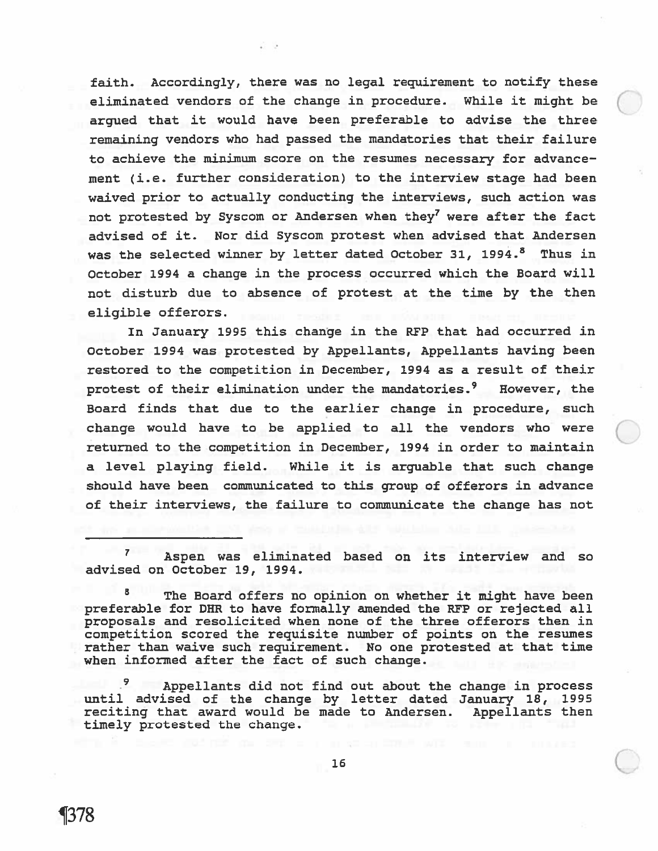faith. Accordingly, there was no legal requirement to notify these eliminated vendors of the change in procedure. While it might be argued that it would have been preferable to advise the three remaining vendors who had passe<sup>d</sup> the mandatories that their failure to achieve the minimum score on the resumes necessary for advance ment (i.e. further consideration) to the interview stage had been waived prior to actually conducting the interviews, such action was not protested by Syscom or Andersen when they<sup>7</sup> were after the fact advised of it. Nor did Syscom protest when advised that Andersen was the selected winner by letter dated October 31, 1994.<sup>8</sup> Thus in October 1994 <sup>a</sup> change in the process occurred which the Board will not disturb due to absence of protest at the time by the then eligible offerors.

In January 1995 this change in the RFP that had occurred in October 1994 was protested by Appellants, Appellants having been restored to the competition in December, 1994 as <sup>a</sup> result of their protest of their elimination under the mandatories.<sup>9</sup> However, the Board finds that due to the earlier change in procedure, such change would have to be applied to all the vendors who were returned to the competition in December, 1994 in order to maintain <sup>a</sup> level playing field. While it is arguable that such change should have been communicated to this group of offerors in advance of their interviews, the failure to communicate the change has not

 $7^{\circ}$ Aspen was eliminated based on its interview and so advised on October 19, 1994.

The Board offers no opinion on whether it might have been preferable for DHR to have formally amended the RFP or rejected all proposals and resolicited when none of the three offerors then in competition scored the requisite number of points on the resumes rather than waive such requirement. No one protested at that time when informed after the fact of such change.

Appellants did not find out about the change in process until advised of the change by letter dated January 18, 1995 reciting that award would be made to Andersen. Appellants then timely protested the change.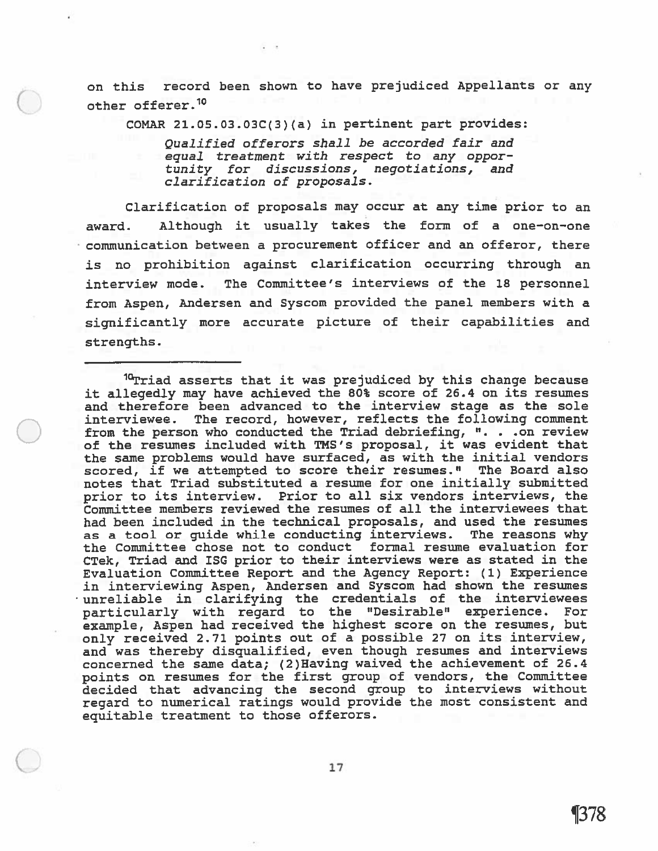on this record been shown to have prejudiced Appellants or any other offerer.10

COMAR 21.05.03.03C(3)(a) in pertinent par<sup>t</sup> provides;

Qualified offerors shall be accorded fair and equal treatment with respec<sup>t</sup> to any oppor tunity for discussions, negotiations, and clarification of proposals.

Clarification of proposals may occur at any time prior to an award. Although it usually takes the form of <sup>a</sup> one—on—one communication between <sup>a</sup> procuremen<sup>t</sup> officer and an offeror, there is no prohibition against clarification occurring through an interview mode. The Committee's interviews of the 18 personnel from Aspen, Andersen and Syscom provided the pane<sup>l</sup> members with <sup>a</sup> significantly more accurate <sup>p</sup>icture of their capabilities and strengths.

<sup>10</sup>Triad asserts that it was prejudiced by this change because it allegedly may have achieved the 80% score of 26.4 on its resumes and therefore been advanced to the interview stage as the sole interviewee. The record, however, reflects the following comment from the person who conducted the Triad debriefing, ". . . on review of the resumes included with ms's proposal, it was evident that the same problems would have surfaced, as with the initial vendors scored, if we attempted to score their resumes." The Board also notes that Triad substituted <sup>a</sup> resume for one initially submitted prior to its interview. Prior to all six vendors interviews, the Committee members reviewed the resumes of all the interviewees that had been included in the technical proposals, and used the resumes as <sup>a</sup> tool or guide while conducting interviews. The reasons why the Committee chose not to conduct formal resume evaluation for CTek, Triad and ISG prior to their interviews were as stated in the Evaluation Committee Report and the Agency Report: (1) Experience in interviewing Aspen, Andersen and Syscom had shown the resumes unreliable in clarifying the credentials of the interviewees particularly with regar<sup>d</sup> to the "Desirable" experience. For example, Aspen had received the highest score on the resumes, but only received 2.71 points out of <sup>a</sup> possible <sup>27</sup> on its interview, and was thereby disqualified, even though resumes and interviews concerned the same data; (2)Having waived the achievement of 26.4 points on resumes for the first group of vendors, the Committee decided that advancing the second group to interviews without regard to numerical ratings would provide the most consistent and equitable treatment to those offerors.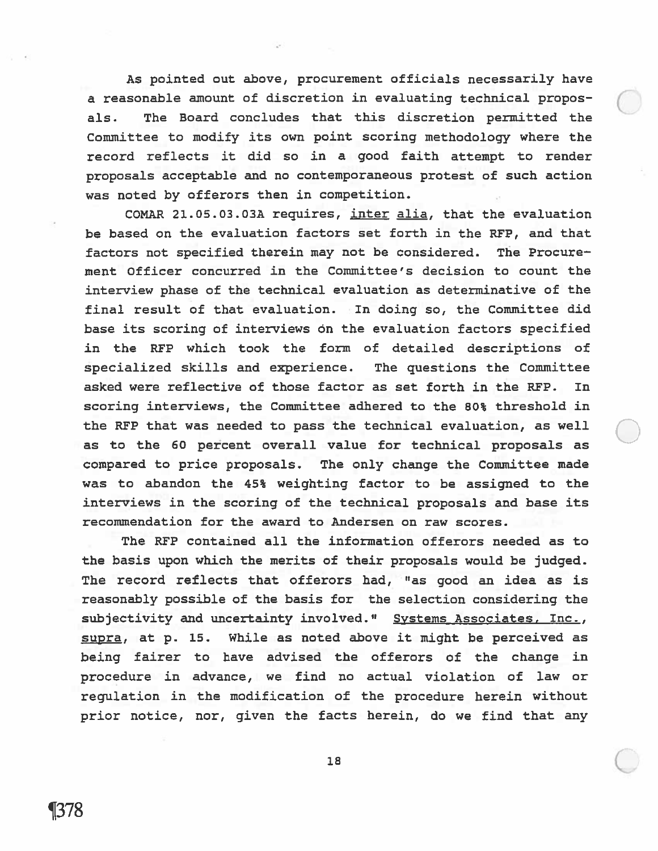As pointed out above, procuremen<sup>t</sup> officials necessarily have <sup>a</sup> reasonable amount of discretion in evaluating technical propos als. The Board concludes that this discretion permitted the Committee to modify its own point scoring methodology where the record reflects it did so in <sup>a</sup> good faith attempt to render proposals acceptable and no contemporaneous protest of such action was noted by offerors then in competition.

COMAR 21.O5.03.03A requires, inter alia, that the evaluation be based on the evaluation factors set forth in the REP, and that factors not specified therein may not be considered. The Procure ment Officer concurred in the Committee's decision to count the interview phase of the technical evaluation as determinative of the final result of that evaluation. In doing so, the Committee did base its scoring of interviews on the evaluation factors specified in the REP which took the form of detailed descriptions of specialized skills and experience. The questions the Committee asked were reflective of those factor as set forth in the REP. In scoring interviews, the Committee adhered to the 80% threshold in the REP that was needed to pass the technical evaluation, as well as to the 60 percen<sup>t</sup> overall value for technical proposals as compared to price proposals. The only change the Committee made was to abandon the 45% weighting factor to be assigned to the interviews in the scoring of the technical proposals and base its recommendation for the award to Andersen on raw scores.

The REP contained all the information offerors needed as to the basis upon which the merits of their proposals would be judged. The record reflects that offerors had, "as good an idea as is reasonably possible of the basis for the selection considering the subjectivity and uncertainty involved." Systems Associates, Inc., supra, at p. 15. while as noted above it might be perceived as being fairer to have advised the offerors of the change in procedure in advance, we find no actual violation of law or regulation in the modification of the procedure herein without prior notice, nor, given the facts herein, do we find that any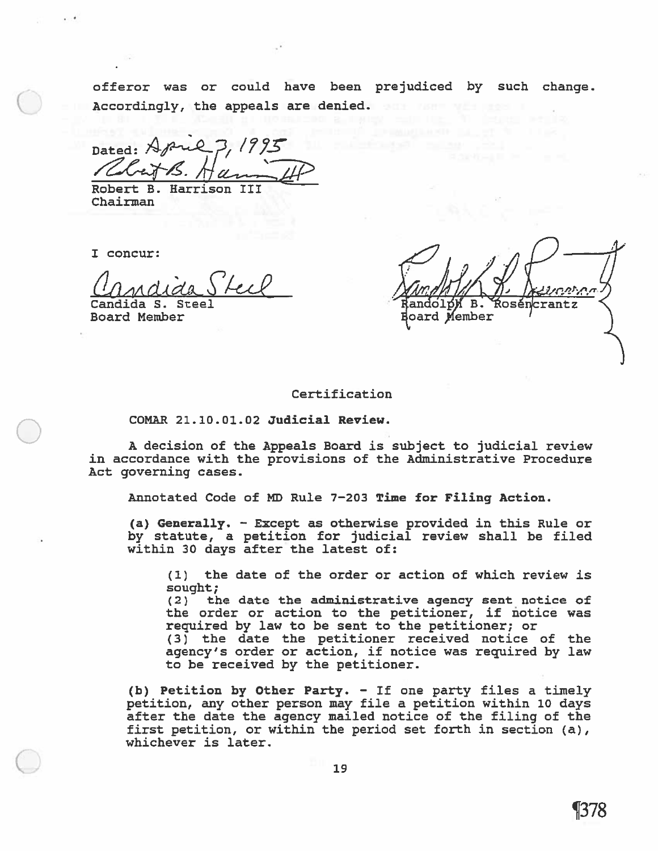offeror was or could have been prejudiced by such change. Accordingly, the appeals are denied.

Dated:  $\forall$ *p*ul  $3, 19$ Rhit B  $H$ ann  $H$ 

Robert B. Harrison III Chairman

I concur:

Unndida

Candida S. Steel Board Member

**Ŕoséncrantz** <sub>R</sub> oard Member

### Certification

COMAR 21.10.01.02 Judicial Review.

A decision of the Appeals Board is subject to judicial review in accordance with the provisions of the Administrative Procedure Act governing cases.

Annotated Code of MD Rule 7—203 Time for Filing Action.

(a) Generally. — Except as otherwise provided in this Rule or by statute, <sup>a</sup> petition for judicial review shall be filed within 30 days after the latest of:

(1) the date of the order or action of which review is sought; (2) the date the administrative agency sent notice of

the order or action to the petitioner, if notice was required by law to be sent to the petitioner; or

(3) the date the petitioner received notice of the agency's order or action, if notice was required by law to be received by the petitioner.

(b) Petition by Other Party. — If one party files <sup>a</sup> timely petition, any other person may file <sup>a</sup> petition within 10 days after the date the agency mailed notice of the filing of the first petition, or within the period set forth in section (a), whichever is later.